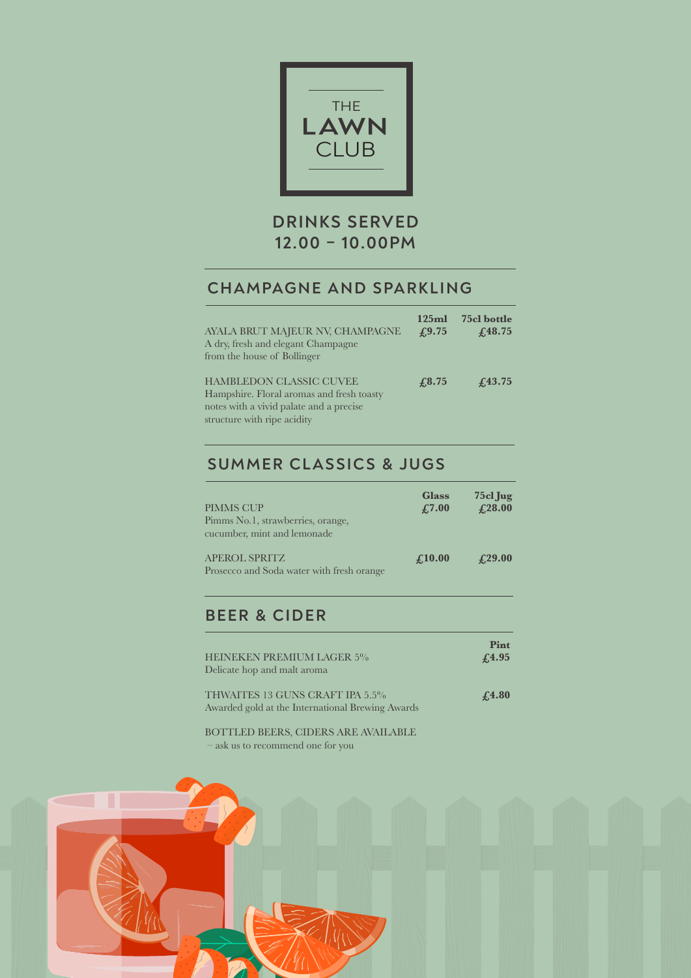

# **DRINKS SERVED 12.00 – 10.00PM**

### **CHAMPAGNE AND SPARKLING**

| AYALA BRUT MAJEUR NV, CHAMPAGNE<br>A dry, fresh and elegant Champagne<br>from the house of Bollinger                                                  | 125ml<br>$\textcolor{blue}{f_{.}9.75}$ | 75cl bottle<br>$f_{.}48.75$ |
|-------------------------------------------------------------------------------------------------------------------------------------------------------|----------------------------------------|-----------------------------|
| <b>HAMBLEDON CLASSIC CUVEE</b><br>Hampshire. Floral aromas and fresh toasty<br>notes with a vivid palate and a precise<br>structure with ripe acidity | f3.75                                  | $f_{.}43.75$                |

## **SUMMER CLASSICS & JUGS**

| <b>PIMMS CUP</b><br>Pimms No.1, strawberries, orange,<br>cucumber, mint and lemonade | <b>Glass</b><br>$\textcolor{blue}{\pounds}7.00$ | $75c1$ Jug<br>£28.00                            |
|--------------------------------------------------------------------------------------|-------------------------------------------------|-------------------------------------------------|
| <b>APEROL SPRITZ</b><br>Prosecco and Soda water with fresh orange                    | $\boldsymbol{\mathcal{L}}$ 10.00                | $\textcolor{blue}{\textbf{\textsterling}}29.00$ |

### **BEER & CIDER**

| <b>HEINEKEN PREMIUM LAGER 5%</b>                                                    | Pint          |
|-------------------------------------------------------------------------------------|---------------|
| Delicate hop and malt aroma                                                         | $\sqrt{4.95}$ |
| THWAITES 13 GUNS CRAFT IPA 5.5%<br>Awarded gold at the International Brewing Awards | £4.80         |

BOTTLED BEERS, CIDERS ARE AVAILABLE – ask us to recommend one for you